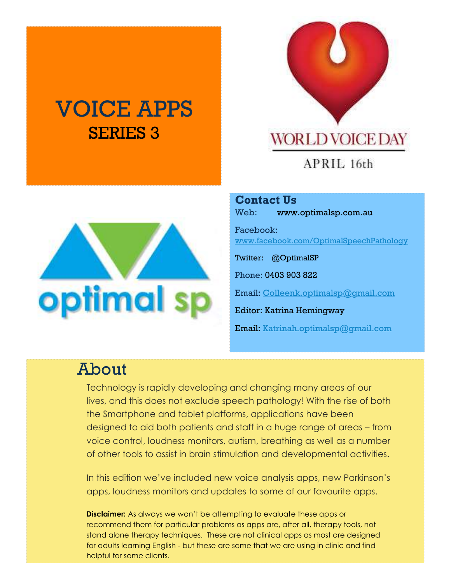# VOICE APPS SERIES 3



#### APRIL 16th

**Contact Us** Web: www.optimalsp.com.au

Facebook: w[ww.facebook.com/OptimalSpeechPathology](http://www.facebook.com/OptimalSpeechPathology)

Twitter: @OptimalSP

Phone: 0403 903 822

Email: [Colleenk.optimalsp@gmail.com](mailto:Colleenk.optimalsp@gmail.com)

Editor: Katrina Hemingway

Email: [Katrinah.optimalsp@gmail.com](mailto:Katrinah.optimalsp@gmail.com)

### About

Technology is rapidly developing and changing many areas of our lives, and this does not exclude speech pathology! With the rise of both the Smartphone and tablet platforms, applications have been designed to aid both patients and staff in a huge range of areas – from voice control, loudness monitors, autism, breathing as well as a number of other tools to assist in brain stimulation and developmental activities.

In this edition we've included new voice analysis apps, new Parkinson's apps, loudness monitors and updates to some of our favourite apps.

**Disclaimer:** As always we won't be attempting to evaluate these apps or recommend them for particular problems as apps are, after all, therapy tools, not stand alone therapy techniques. These are not clinical apps as most are designed for adults learning English - but these are some that we are using in clinic and find helpful for some clients.

# **optimal** sp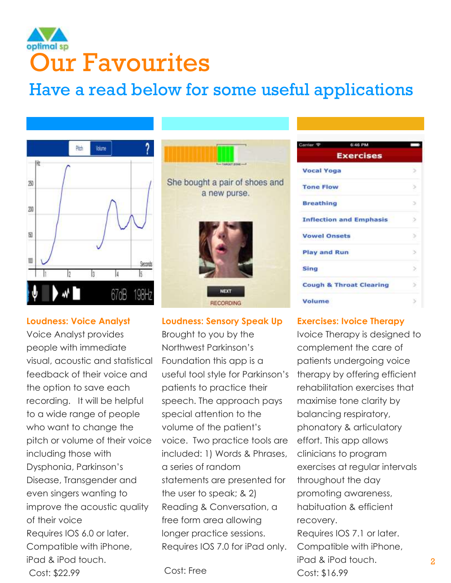## optimal sp Our Favourites

## Have a read below for some useful applications



#### **Loudness: Voice Analyst**

Voice Analyst provides people with immediate visual, acoustic and statistical feedback of their voice and the option to save each recording. It will be helpful to a wide range of people who want to change the pitch or volume of their voice including those with Dysphonia, Parkinson's Disease, Transgender and even singers wanting to improve the acoustic quality of their voice Requires IOS 6.0 or later. Compatible with iPhone, iPad & iPod touch. Cost: \$22.99



#### **Loudness: Sensory Speak Up**

Brought to you by the Northwest Parkinson's Foundation this app is a useful tool style for Parkinson's patients to practice their speech. The approach pays special attention to the volume of the patient's voice. Two practice tools are included: 1) Words & Phrases, a series of random statements are presented for the user to speak; & 2) Reading & Conversation, a free form area allowing longer practice sessions. Requires IOS 7.0 for iPad only.

#### Cost: Free

| Carrier ®           | 6:46 PM                            |   |
|---------------------|------------------------------------|---|
|                     | <b>Exercises</b>                   |   |
| <b>Vocal Yoga</b>   |                                    |   |
| <b>Tone Flow</b>    |                                    | э |
| <b>Breathing</b>    |                                    | э |
|                     | <b>Inflection and Emphasis</b>     | ð |
| <b>Vowel Onsets</b> |                                    | 5 |
| <b>Play and Run</b> |                                    | э |
| Sing                |                                    | Ś |
|                     | <b>Cough &amp; Throat Clearing</b> |   |
| Volume              |                                    |   |

#### **Exercises: Ivoice Therapy**

Ivoice Therapy is designed to complement the care of patients undergoing voice therapy by offering efficient rehabilitation exercises that maximise tone clarity by balancing respiratory, phonatory & articulatory effort. This app allows clinicians to program exercises at regular intervals throughout the day promoting awareness, habituation & efficient recovery. Requires IOS 7.1 or later. Compatible with iPhone, iPad & iPod touch. Cost: \$16.99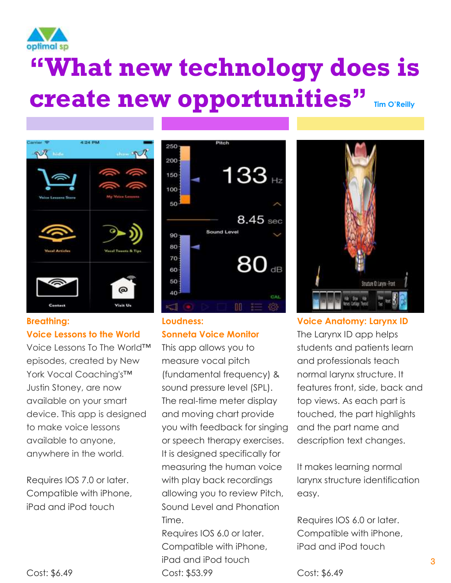

# **"What new technology does is create new opportunities" Tim O'Reilly**



#### **Breathing: Voice Lessons to the World**

Voice Lessons To The World™ episodes, created by New York Vocal Coaching's™ Justin Stoney, are now available on your smart device. This app is designed to make voice lessons available to anyone, anywhere in the world.

Requires IOS 7.0 or later. Compatible with iPhone, iPad and iPod touch



#### **Loudness: Sonneta Voice Monitor**

This app allows you to measure vocal pitch (fundamental frequency) & sound pressure level (SPL). The real-time meter display and moving chart provide you with feedback for singing or speech therapy exercises. It is designed specifically for measuring the human voice with play back recordings allowing you to review Pitch, Sound Level and Phonation Time.

Requires IOS 6.0 or later. Compatible with iPhone, iPad and iPod touch Cost: \$53.99



**Voice Anatomy: Larynx ID** The Larynx ID app helps students and patients learn and professionals teach normal larynx structure. It features front, side, back and top views. As each part is touched, the part highlights and the part name and description text changes.

It makes learning normal larynx structure identification easy.

Requires IOS 6.0 or later. Compatible with iPhone, iPad and iPod touch

Cost: \$6.49